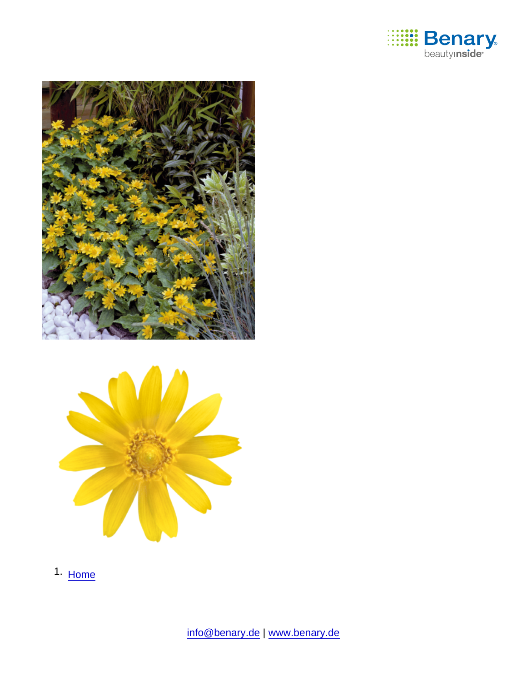

1. [Home](https://www.benary.com/)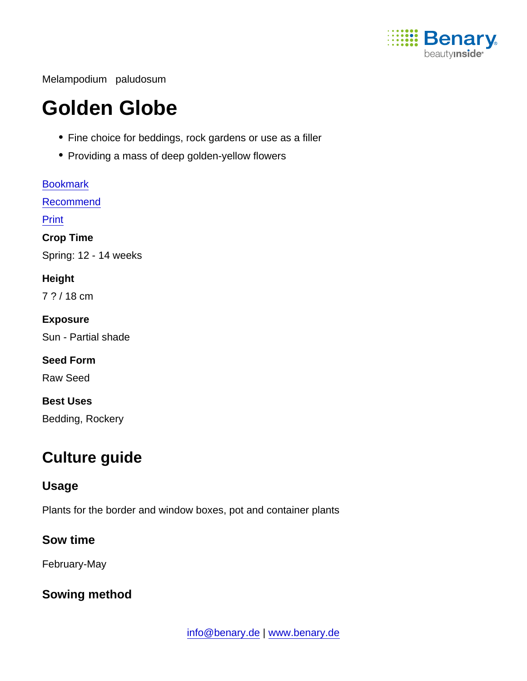

Melampodium paludosum

# Golden Globe

- Fine choice for beddings, rock gardens or use as a filler
- Providing a mass of deep golden-yellow flowers

**[Bookmark](https://www.benary.com/flag/flag/product/6027?destination&token=u7jBJEbTHLsVj4_zOy-TUKdVN0XTHsR7x3ghLZsbb8Q)** [Recommend](mailto:?subject=Benary Melampodium paludosum &body=https://www.benary.com/print/pdf/node/6027) Print Crop Time Spring: 12 - 14 weeks **Height** 7 ? / 18 cm Exposure Sun - Partial shade Seed Form Raw Seed Best Uses Bedding, Rockery

## Culture guide

#### Usage

Plants for the border and window boxes, pot and container plants

Sow time

February-May

Sowing method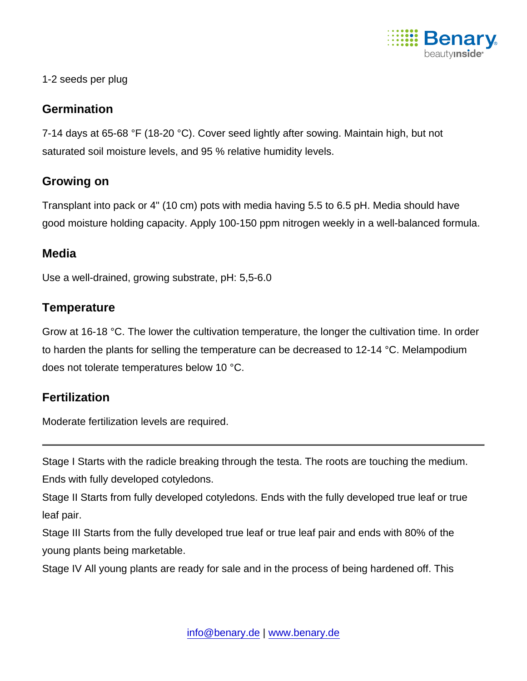

#### 1-2 seeds per plug

#### **Germination**

7-14 days at 65-68 °F (18-20 °C). Cover seed lightly after sowing. Maintain high, but not saturated soil moisture levels, and 95 % relative humidity levels.

#### Growing on

Transplant into pack or 4" (10 cm) pots with media having 5.5 to 6.5 pH. Media should have good moisture holding capacity. Apply 100-150 ppm nitrogen weekly in a well-balanced formula.

#### **Media**

Use a well-drained, growing substrate, pH: 5,5-6.0

### **Temperature**

Grow at 16-18 °C. The lower the cultivation temperature, the longer the cultivation time. In order to harden the plants for selling the temperature can be decreased to 12-14 °C. Melampodium does not tolerate temperatures below 10 °C.

#### **Fertilization**

Moderate fertilization levels are required.

Stage I Starts with the radicle breaking through the testa. The roots are touching the medium. Ends with fully developed cotyledons.

Stage II Starts from fully developed cotyledons. Ends with the fully developed true leaf or true leaf pair.

Stage III Starts from the fully developed true leaf or true leaf pair and ends with 80% of the young plants being marketable.

Stage IV All young plants are ready for sale and in the process of being hardened off. This